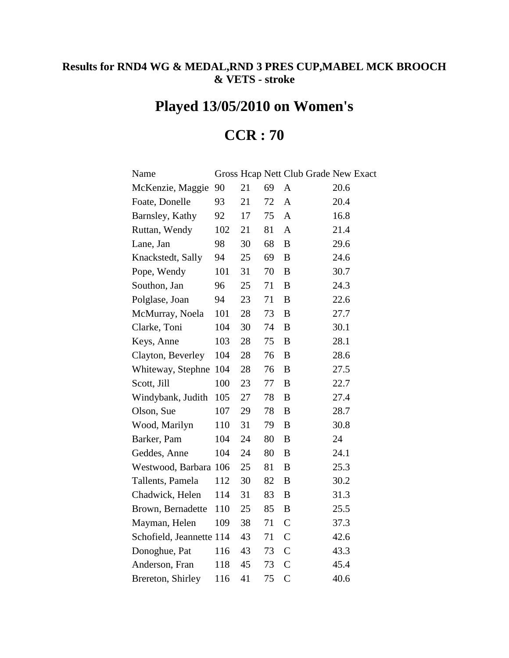## **Results for RND4 WG & MEDAL,RND 3 PRES CUP,MABEL MCK BROOCH & VETS - stroke**

## **Played 13/05/2010 on Women's**

## **CCR : 70**

| Name                     |     |    |    | Gross Hcap Nett Club Grade New Exact |      |
|--------------------------|-----|----|----|--------------------------------------|------|
| McKenzie, Maggie         | 90  | 21 | 69 | A                                    | 20.6 |
| Foate, Donelle           | 93  | 21 | 72 | A                                    | 20.4 |
| Barnsley, Kathy          | 92  | 17 | 75 | A                                    | 16.8 |
| Ruttan, Wendy            | 102 | 21 | 81 | $\mathbf{A}$                         | 21.4 |
| Lane, Jan                | 98  | 30 | 68 | B                                    | 29.6 |
| Knackstedt, Sally        | 94  | 25 | 69 | B                                    | 24.6 |
| Pope, Wendy              | 101 | 31 | 70 | $\boldsymbol{B}$                     | 30.7 |
| Southon, Jan             | 96  | 25 | 71 | B                                    | 24.3 |
| Polglase, Joan           | 94  | 23 | 71 | $\boldsymbol{B}$                     | 22.6 |
| McMurray, Noela          | 101 | 28 | 73 | $\boldsymbol{B}$                     | 27.7 |
| Clarke, Toni             | 104 | 30 | 74 | $\boldsymbol{B}$                     | 30.1 |
| Keys, Anne               | 103 | 28 | 75 | B                                    | 28.1 |
| Clayton, Beverley        | 104 | 28 | 76 | $\boldsymbol{B}$                     | 28.6 |
| Whiteway, Stephne        | 104 | 28 | 76 | B                                    | 27.5 |
| Scott, Jill              | 100 | 23 | 77 | $\bf{B}$                             | 22.7 |
| Windybank, Judith        | 105 | 27 | 78 | B                                    | 27.4 |
| Olson, Sue               | 107 | 29 | 78 | $\bf{B}$                             | 28.7 |
| Wood, Marilyn            | 110 | 31 | 79 | B                                    | 30.8 |
| Barker, Pam              | 104 | 24 | 80 | $\bf{B}$                             | 24   |
| Geddes, Anne             | 104 | 24 | 80 | B                                    | 24.1 |
| Westwood, Barbara 106    |     | 25 | 81 | $\boldsymbol{B}$                     | 25.3 |
| Tallents, Pamela         | 112 | 30 | 82 | B                                    | 30.2 |
| Chadwick, Helen          | 114 | 31 | 83 | B                                    | 31.3 |
| Brown, Bernadette        | 110 | 25 | 85 | B                                    | 25.5 |
| Mayman, Helen            | 109 | 38 | 71 | $\mathcal{C}$                        | 37.3 |
| Schofield, Jeannette 114 |     | 43 | 71 | $\mathsf{C}$                         | 42.6 |
| Donoghue, Pat            | 116 | 43 | 73 | $\mathcal{C}$                        | 43.3 |
| Anderson, Fran           | 118 | 45 | 73 | $\mathsf{C}$                         | 45.4 |
| Brereton, Shirley        | 116 | 41 | 75 | $\overline{C}$                       | 40.6 |